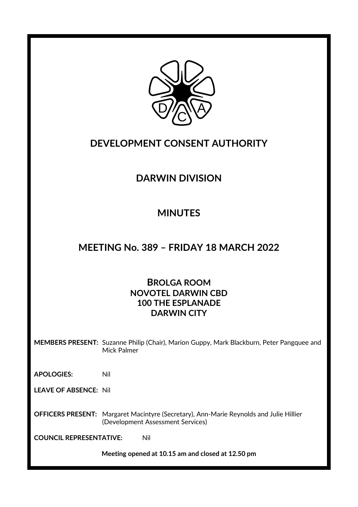

## **DEVELOPMENT CONSENT AUTHORITY**

# **DARWIN DIVISION**

# **MINUTES**

## **MEETING No. 389 – FRIDAY 18 MARCH 2022**

### **BROLGA ROOM NOVOTEL DARWIN CBD 100 THE ESPLANADE DARWIN CITY**

**MEMBERS PRESENT:** Suzanne Philip (Chair), Marion Guppy, Mark Blackburn, Peter Pangquee and Mick Palmer

**APOLOGIES:** Nil

**LEAVE OF ABSENCE:** Nil

**OFFICERS PRESENT:** Margaret Macintyre (Secretary), Ann-Marie Reynolds and Julie Hillier (Development Assessment Services)

**COUNCIL REPRESENTATIVE:** Nil

**Meeting opened at 10.15 am and closed at 12.50 pm**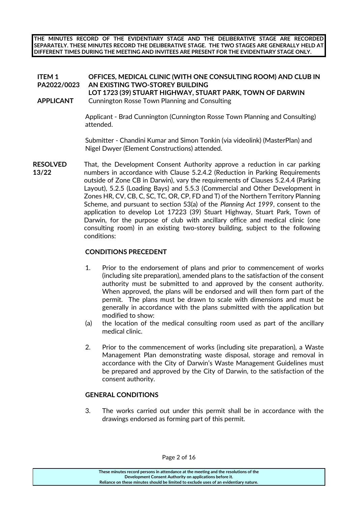**THE MINUTES RECORD OF THE EVIDENTIARY STAGE AND THE DELIBERATIVE STAGE ARE RECORDED SEPARATELY. THESE MINUTES RECORD THE DELIBERATIVE STAGE. THE TWO STAGES ARE GENERALLY HELD AT DIFFERENT TIMES DURING THE MEETING AND INVITEES ARE PRESENT FOR THE EVIDENTIARY STAGE ONLY.**

#### **ITEM 1 PA2022/0023 OFFICES, MEDICAL CLINIC (WITH ONE CONSULTING ROOM) AND CLUB IN AN EXISTING TWO-STOREY BUILDING**

#### **LOT 1723 (39) STUART HIGHWAY, STUART PARK, TOWN OF DARWIN APPLICANT** Cunnington Rosse Town Planning and Consulting

Applicant - Brad Cunnington (Cunnington Rosse Town Planning and Consulting) attended.

Submitter - Chandini Kumar and Simon Tonkin (via videolink) (MasterPlan) and Nigel Dwyer (Element Constructions) attended.

**RESOLVED** That, the Development Consent Authority approve a reduction in car parking numbers in accordance with Clause 5.2.4.2 (Reduction in Parking Requirements outside of Zone CB in Darwin), vary the requirements of Clauses 5.2.4.4 (Parking Layout), 5.2.5 (Loading Bays) and 5.5.3 (Commercial and Other Development in Zones HR, CV, CB, C, SC, TC, OR, CP, FD and T) of the Northern Territory Planning Scheme, and pursuant to section 53(a) of the *Planning Act 1999*, consent to the application to develop Lot 17223 (39) Stuart Highway, Stuart Park, Town of Darwin, for the purpose of club with ancillary office and medical clinic (one consulting room) in an existing two-storey building, subject to the following conditions: **13/22**

#### **CONDITIONS PRECEDENT**

- 1. Prior to the endorsement of plans and prior to commencement of works (including site preparation), amended plans to the satisfaction of the consent authority must be submitted to and approved by the consent authority. When approved, the plans will be endorsed and will then form part of the permit. The plans must be drawn to scale with dimensions and must be generally in accordance with the plans submitted with the application but modified to show:
- (a) the location of the medical consulting room used as part of the ancillary medical clinic.
- 2. Prior to the commencement of works (including site preparation), a Waste Management Plan demonstrating waste disposal, storage and removal in accordance with the City of Darwin's Waste Management Guidelines must be prepared and approved by the City of Darwin, to the satisfaction of the consent authority.

#### **GENERAL CONDITIONS**

3. The works carried out under this permit shall be in accordance with the drawings endorsed as forming part of this permit.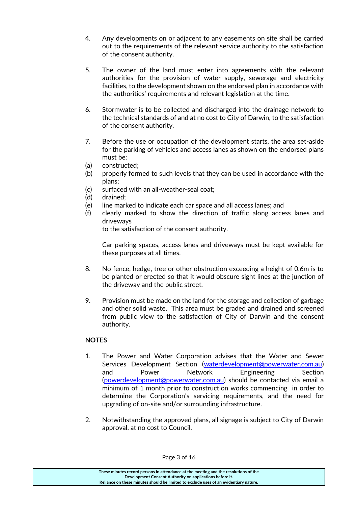- 4. Any developments on or adjacent to any easements on site shall be carried out to the requirements of the relevant service authority to the satisfaction of the consent authority.
- 5. The owner of the land must enter into agreements with the relevant authorities for the provision of water supply, sewerage and electricity facilities, to the development shown on the endorsed plan in accordance with the authorities' requirements and relevant legislation at the time.
- 6. Stormwater is to be collected and discharged into the drainage network to the technical standards of and at no cost to City of Darwin, to the satisfaction of the consent authority.
- 7. Before the use or occupation of the development starts, the area set-aside for the parking of vehicles and access lanes as shown on the endorsed plans must be:
- (a) constructed;
- (b) properly formed to such levels that they can be used in accordance with the plans;
- (c) surfaced with an all-weather-seal coat;
- (d) drained;
- (e) line marked to indicate each car space and all access lanes; and
- (f) clearly marked to show the direction of traffic along access lanes and driveways

to the satisfaction of the consent authority.

Car parking spaces, access lanes and driveways must be kept available for these purposes at all times.

- 8. No fence, hedge, tree or other obstruction exceeding a height of 0.6m is to be planted or erected so that it would obscure sight lines at the junction of the driveway and the public street.
- 9. Provision must be made on the land for the storage and collection of garbage and other solid waste. This area must be graded and drained and screened from public view to the satisfaction of City of Darwin and the consent authority.

### **NOTES**

- 1. The Power and Water Corporation advises that the Water and Sewer Services Development Section [\(waterdevelopment@powerwater.com.au\)](mailto:waterdevelopment@powerwater.com.au) and Power Network Engineering Section [\(powerdevelopment@powerwater.com.au\)](mailto:powerdevelopment@powerwater.com.au) should be contacted via email a minimum of 1 month prior to construction works commencing in order to determine the Corporation's servicing requirements, and the need for upgrading of on-site and/or surrounding infrastructure.
- 2. Notwithstanding the approved plans, all signage is subject to City of Darwin approval, at no cost to Council.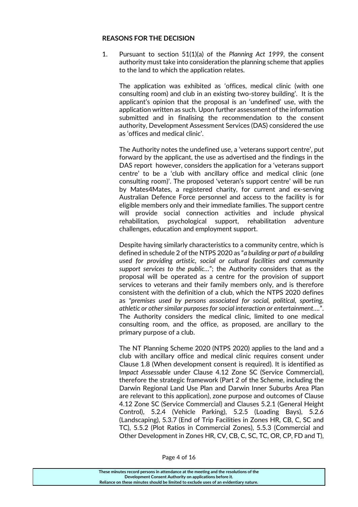#### **REASONS FOR THE DECISION**

1. Pursuant to section 51(1)(a) of the *Planning Act 1999,* the consent authority must take into consideration the planning scheme that applies to the land to which the application relates.

The application was exhibited as 'offices, medical clinic (with one consulting room) and club in an existing two-storey building'. It is the applicant's opinion that the proposal is an 'undefined' use, with the application written as such. Upon further assessment of the information submitted and in finalising the recommendation to the consent authority, Development Assessment Services (DAS) considered the use as 'offices and medical clinic'.

The Authority notes the undefined use, a 'veterans support centre', put forward by the applicant, the use as advertised and the findings in the DAS report however, considers the application for a 'veterans support centre' to be a 'club with ancillary office and medical clinic (one consulting room)'. The proposed 'veteran's support centre' will be run by Mates4Mates, a registered charity, for current and ex‐serving Australian Defence Force personnel and access to the facility is for eligible members only and their immediate families. The support centre will provide social connection activities and include physical rehabilitation, psychological support, rehabilitation adventure challenges, education and employment support.

Despite having similarly characteristics to a community centre, which is defined in schedule 2 of the NTPS 2020 as "*a building or part of a building used for providing artistic, social or cultural facilities and community support services to the public…*"; the Authority considers that as the proposal will be operated as a centre for the provision of support services to veterans and their family members only, and is therefore consistent with the definition of a club, which the NTPS 2020 defines as "*premises used by persons associated for social, political, sporting, athletic or other similar purposes for social interaction or entertainment….*". The Authority considers the medical clinic, limited to one medical consulting room, and the office, as proposed, are ancillary to the primary purpose of a club.

The NT Planning Scheme 2020 (NTPS 2020) applies to the land and a club with ancillary office and medical clinic requires consent under Clause 1.8 (When development consent is required). It is identified as I*mpact Assessable* under Clause 4.12 Zone SC (Service Commercial), therefore the strategic framework (Part 2 of the Scheme, including the Darwin Regional Land Use Plan and Darwin Inner Suburbs Area Plan are relevant to this application), zone purpose and outcomes of Clause 4.12 Zone SC (Service Commercial) and Clauses 5.2.1 (General Height Control), 5.2.4 (Vehicle Parking), 5.2.5 (Loading Bays), 5.2.6 (Landscaping), 5.3.7 (End of Trip Facilities in Zones HR, CB, C, SC and TC), 5.5.2 (Plot Ratios in Commercial Zones), 5.5.3 (Commercial and Other Development in Zones HR, CV, CB, C, SC, TC, OR, CP, FD and T),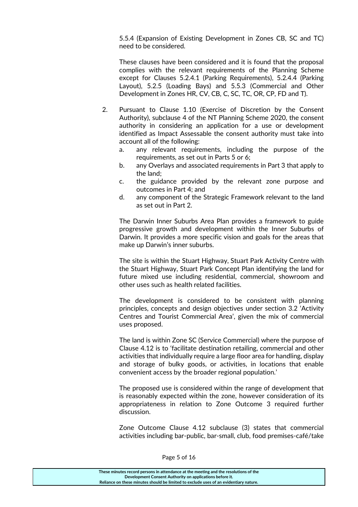5.5.4 (Expansion of Existing Development in Zones CB, SC and TC) need to be considered.

These clauses have been considered and it is found that the proposal complies with the relevant requirements of the Planning Scheme except for Clauses 5.2.4.1 (Parking Requirements), 5.2.4.4 (Parking Layout), 5.2.5 (Loading Bays) and 5.5.3 (Commercial and Other Development in Zones HR, CV, CB, C, SC, TC, OR, CP, FD and T).

- 2. Pursuant to Clause 1.10 (Exercise of Discretion by the Consent Authority), subclause 4 of the NT Planning Scheme 2020, the consent authority in considering an application for a use or development identified as Impact Assessable the consent authority must take into account all of the following:
	- a. any relevant requirements, including the purpose of the requirements, as set out in Parts 5 or 6;
	- b. any Overlays and associated requirements in Part 3 that apply to the land;
	- c. the guidance provided by the relevant zone purpose and outcomes in Part 4; and
	- d. any component of the Strategic Framework relevant to the land as set out in Part 2.

The Darwin Inner Suburbs Area Plan provides a framework to guide progressive growth and development within the Inner Suburbs of Darwin. It provides a more specific vision and goals for the areas that make up Darwin's inner suburbs.

The site is within the Stuart Highway, Stuart Park Activity Centre with the Stuart Highway, Stuart Park Concept Plan identifying the land for future mixed use including residential, commercial, showroom and other uses such as health related facilities.

The development is considered to be consistent with planning principles, concepts and design objectives under section 3.2 'Activity Centres and Tourist Commercial Area', given the mix of commercial uses proposed.

The land is within Zone SC (Service Commercial) where the purpose of Clause 4.12 is to 'facilitate destination retailing, commercial and other activities that individually require a large floor area for handling, display and storage of bulky goods, or activities, in locations that enable convenient access by the broader regional population.'

The proposed use is considered within the range of development that is reasonably expected within the zone, however consideration of its appropriateness in relation to Zone Outcome 3 required further discussion.

Zone Outcome Clause 4.12 subclause (3) states that commercial activities including bar-public, bar-small, club, food premises-café/take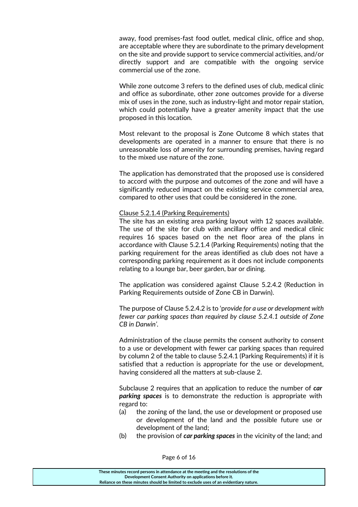away, food premises-fast food outlet, medical clinic, office and shop, are acceptable where they are subordinate to the primary development on the site and provide support to service commercial activities, and/or directly support and are compatible with the ongoing service commercial use of the zone.

While zone outcome 3 refers to the defined uses of club, medical clinic and office as subordinate, other zone outcomes provide for a diverse mix of uses in the zone, such as industry-light and motor repair station, which could potentially have a greater amenity impact that the use proposed in this location.

Most relevant to the proposal is Zone Outcome 8 which states that developments are operated in a manner to ensure that there is no unreasonable loss of amenity for surrounding premises, having regard to the mixed use nature of the zone.

The application has demonstrated that the proposed use is considered to accord with the purpose and outcomes of the zone and will have a significantly reduced impact on the existing service commercial area, compared to other uses that could be considered in the zone.

Clause 5.2.1.4 (Parking Requirements)

The site has an existing area parking layout with 12 spaces available. The use of the site for club with ancillary office and medical clinic requires 16 spaces based on the net floor area of the plans in accordance with Clause 5.2.1.4 (Parking Requirements) noting that the parking requirement for the areas identified as club does not have a corresponding parking requirement as it does not include components relating to a lounge bar, beer garden, bar or dining.

The application was considered against Clause 5.2.4.2 (Reduction in Parking Requirements outside of Zone CB in Darwin).

The purpose of Clause 5.2.4.2 is to 'p*rovide for a use or development with fewer car parking spaces than required by clause 5.2.4.1 outside of Zone CB in Darwin'.* 

Administration of the clause permits the consent authority to consent to a use or development with fewer car parking spaces than required by column 2 of the table to clause 5.2.4.1 (Parking Requirements) if it is satisfied that a reduction is appropriate for the use or development, having considered all the matters at sub-clause 2.

Subclause 2 requires that an application to reduce the number of *car parking spaces* is to demonstrate the reduction is appropriate with regard to:

- (a) the zoning of the land, the use or development or proposed use or development of the land and the possible future use or development of the land;
- (b) the provision of *car parking spaces* in the vicinity of the land; and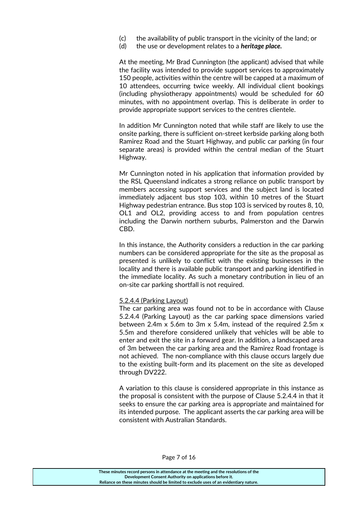- (c) the availability of public transport in the vicinity of the land; or
- (d) the use or development relates to a *heritage place.*

At the meeting, Mr Brad Cunnington (the applicant) advised that while the facility was intended to provide support services to approximately 150 people, activities within the centre will be capped at a maximum of 10 attendees, occurring twice weekly. All individual client bookings (including physiotherapy appointments) would be scheduled for 60 minutes, with no appointment overlap. This is deliberate in order to provide appropriate support services to the centres clientele.

In addition Mr Cunnington noted that while staff are likely to use the onsite parking, there is sufficient on-street kerbside parking along both Ramirez Road and the Stuart Highway, and public car parking (in four separate areas) is provided within the central median of the Stuart Highway.

Mr Cunnington noted in his application that information provided by the RSL Queensland indicates a strong reliance on public transport by members accessing support services and the subject land is located immediately adjacent bus stop 103, within 10 metres of the Stuart Highway pedestrian entrance. Bus stop 103 is serviced by routes 8, 10, OL1 and OL2, providing access to and from population centres including the Darwin northern suburbs, Palmerston and the Darwin CBD.

In this instance, the Authority considers a reduction in the car parking numbers can be considered appropriate for the site as the proposal as presented is unlikely to conflict with the existing businesses in the locality and there is available public transport and parking identified in the immediate locality. As such a monetary contribution in lieu of an on-site car parking shortfall is not required.

#### 5.2.4.4 (Parking Layout)

The car parking area was found not to be in accordance with Clause 5.2.4.4 (Parking Layout) as the car parking space dimensions varied between 2.4m x 5.6m to 3m x 5.4m, instead of the required 2.5m x 5.5m and therefore considered unlikely that vehicles will be able to enter and exit the site in a forward gear. In addition, a landscaped area of 3m between the car parking area and the Ramirez Road frontage is not achieved. The non-compliance with this clause occurs largely due to the existing built-form and its placement on the site as developed through DV222.

A variation to this clause is considered appropriate in this instance as the proposal is consistent with the purpose of Clause 5.2.4.4 in that it seeks to ensure the car parking area is appropriate and maintained for its intended purpose. The applicant asserts the car parking area will be consistent with Australian Standards.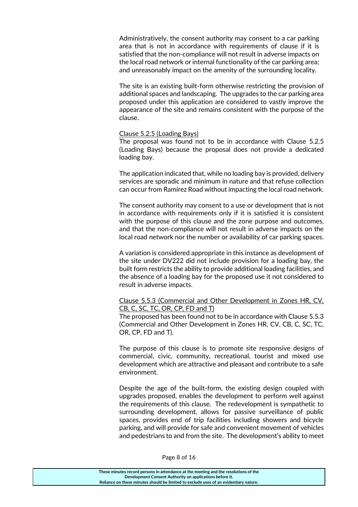Administratively, the consent authority may consent to a car parking area that is not in accordance with requirements of clause if it is satisfied that the non-compliance will not result in adverse impacts on the local road network or internal functionality of the car parking area; and unreasonably impact on the amenity of the surrounding locality.

The site is an existing built-form otherwise restricting the provision of additional spaces and landscaping. The upgrades to the car parking area proposed under this application are considered to vastly improve the appearance of the site and remains consistent with the purpose of the clause.

#### Clause 5.2.5 (Loading Bays)

The proposal was found not to be in accordance with Clause 5.2.5 (Loading Bays) because the proposal does not provide a dedicated loading bay.

The application indicated that, while no loading bay is provided, delivery services are sporadic and minimum in nature and that refuse collection can occur from Ramirez Road without impacting the local road network.

The consent authority may consent to a use or development that is not in accordance with requirements only if it is satisfied it is consistent with the purpose of this clause and the zone purpose and outcomes, and that the non-compliance will not result in adverse impacts on the local road network nor the number or availability of car parking spaces.

A variation is considered appropriate in this instance as development of the site under DV222 did not include provision for a loading bay, the built form restricts the ability to provide additional loading facilities, and the absence of a loading bay for the proposed use it not considered to result in adverse impacts.

#### Clause 5.5.3 (Commercial and Other Development in Zones HR, CV, CB, C, SC, TC, OR, CP, FD and T)

The proposed has been found not to be in accordance with Clause 5.5.3 (Commercial and Other Development in Zones HR, CV, CB, C, SC, TC, OR, CP, FD and T).

The purpose of this clause is to promote site responsive designs of commercial, civic, community, recreational, tourist and mixed use development which are attractive and pleasant and contribute to a safe environment.

Despite the age of the built-form, the existing design coupled with upgrades proposed, enables the development to perform well against the requirements of this clause. The redevelopment is sympathetic to surrounding development, allows for passive surveillance of public spaces, provides end of trip facilities including showers and bicycle parking, and will provide for safe and convenient movement of vehicles and pedestrians to and from the site. The development's ability to meet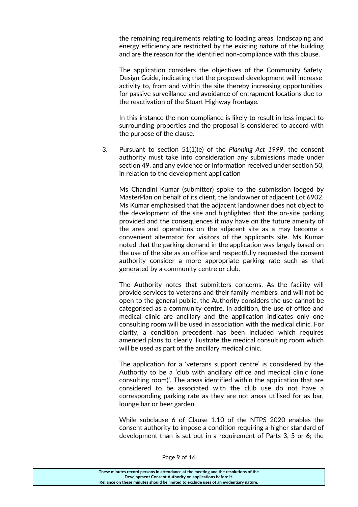the remaining requirements relating to loading areas, landscaping and energy efficiency are restricted by the existing nature of the building and are the reason for the identified non-compliance with this clause.

The application considers the objectives of the Community Safety Design Guide, indicating that the proposed development will increase activity to, from and within the site thereby increasing opportunities for passive surveillance and avoidance of entrapment locations due to the reactivation of the Stuart Highway frontage.

In this instance the non-compliance is likely to result in less impact to surrounding properties and the proposal is considered to accord with the purpose of the clause.

3. Pursuant to section 51(1)(e) of the *Planning Act 1999*, the consent authority must take into consideration any submissions made under section 49, and any evidence or information received under section 50, in relation to the development application

Ms Chandini Kumar (submitter) spoke to the submission lodged by MasterPlan on behalf of its client, the landowner of adjacent Lot 6902. Ms Kumar emphasised that the adjacent landowner does not object to the development of the site and highlighted that the on-site parking provided and the consequences it may have on the future amenity of the area and operations on the adjacent site as a may become a convenient alternator for visitors of the applicants site. Ms Kumar noted that the parking demand in the application was largely based on the use of the site as an office and respectfully requested the consent authority consider a more appropriate parking rate such as that generated by a community centre or club.

The Authority notes that submitters concerns. As the facility will provide services to veterans and their family members, and will not be open to the general public, the Authority considers the use cannot be categorised as a community centre. In addition, the use of office and medical clinic are ancillary and the application indicates only one consulting room will be used in association with the medical clinic. For clarity, a condition precedent has been included which requires amended plans to clearly illustrate the medical consulting room which will be used as part of the ancillary medical clinic.

The application for a 'veterans support centre' is considered by the Authority to be a 'club with ancillary office and medical clinic (one consulting room)'. The areas identified within the application that are considered to be associated with the club use do not have a corresponding parking rate as they are not areas utilised for as bar, lounge bar or beer garden.

While subclause 6 of Clause 1.10 of the NTPS 2020 enables the consent authority to impose a condition requiring a higher standard of development than is set out in a requirement of Parts 3, 5 or 6; the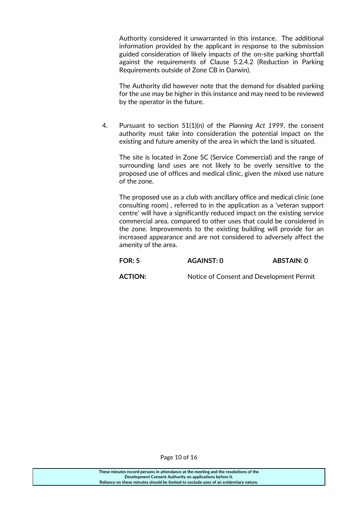Authority considered it unwarranted in this instance. The additional information provided by the applicant in response to the submission guided consideration of likely impacts of the on-site parking shortfall against the requirements of Clause 5.2.4.2 (Reduction in Parking Requirements outside of Zone CB in Darwin).

The Authority did however note that the demand for disabled parking for the use may be higher in this instance and may need to be reviewed by the operator in the future.

4. Pursuant to section 51(1)(n) of the *Planning Act 1999*, the consent authority must take into consideration the potential impact on the existing and future amenity of the area in which the land is situated.

The site is located in Zone SC (Service Commercial) and the range of surrounding land uses are not likely to be overly sensitive to the proposed use of offices and medical clinic, given the mixed use nature of the zone.

The proposed use as a club with ancillary office and medical clinic (one consulting room) , referred to in the application as a 'veteran support centre' will have a significantly reduced impact on the existing service commercial area, compared to other uses that could be considered in the zone. Improvements to the existing building will provide for an increased appearance and are not considered to adversely affect the amenity of the area.

| <b>FOR: 5</b> | AGAINST: 0 | ABSTAIN: 0 |
|---------------|------------|------------|
|               |            |            |

**ACTION:** Notice of Consent and Development Permit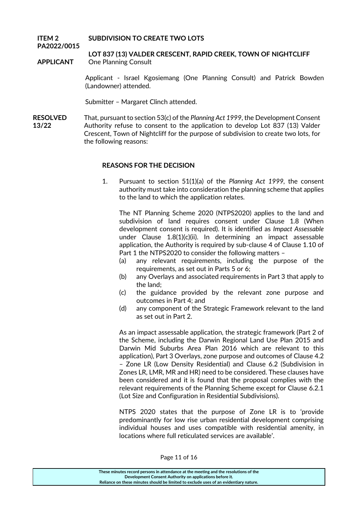#### **ITEM 2 PA2022/0015 SUBDIVISION TO CREATE TWO LOTS**

### **LOT 837 (13) VALDER CRESCENT, RAPID CREEK, TOWN OF NIGHTCLIFF APPLICANT** One Planning Consult

Applicant - Israel Kgosiemang (One Planning Consult) and Patrick Bowden (Landowner) attended.

Submitter – Margaret Clinch attended.

**RESOLVED** That, pursuant to section 53(c) of the *Planning Act 1999*, the Development Consent Authority refuse to consent to the application to develop Lot 837 (13) Valder Crescent, Town of Nightcliff for the purpose of subdivision to create two lots, for the following reasons: **13/22**

#### **REASONS FOR THE DECISION**

1. Pursuant to section 51(1)(a) of the *Planning Act 1999,* the consent authority must take into consideration the planning scheme that applies to the land to which the application relates.

The NT Planning Scheme 2020 (NTPS2020) applies to the land and subdivision of land requires consent under Clause 1.8 (When development consent is required). It is identified as *Impact Assessable* under Clause 1.8(1)(c)(ii). In determining an impact assessable application, the Authority is required by sub-clause 4 of Clause 1.10 of Part 1 the NTPS2020 to consider the following matters –

- (a) any relevant requirements, including the purpose of the requirements, as set out in Parts 5 or 6;
- (b) any Overlays and associated requirements in Part 3 that apply to the land;
- (c) the guidance provided by the relevant zone purpose and outcomes in Part 4; and
- (d) any component of the Strategic Framework relevant to the land as set out in Part 2.

As an impact assessable application, the strategic framework (Part 2 of the Scheme, including the Darwin Regional Land Use Plan 2015 and Darwin Mid Suburbs Area Plan 2016 which are relevant to this application), Part 3 Overlays, zone purpose and outcomes of Clause 4.2 – Zone LR (Low Density Residential) and Clause 6.2 (Subdivision in Zones LR, LMR, MR and HR) need to be considered. These clauses have been considered and it is found that the proposal complies with the relevant requirements of the Planning Scheme except for Clause 6.2.1 (Lot Size and Configuration in Residential Subdivisions).

NTPS 2020 states that the purpose of Zone LR is to 'provide predominantly for low rise urban residential development comprising individual houses and uses compatible with residential amenity, in locations where full reticulated services are available'.

**These minutes record persons in attendance at the meeting and the resolutions of the Development Consent Authority on applications before it. Reliance on these minutes should be limited to exclude uses of an evidentiary nature.**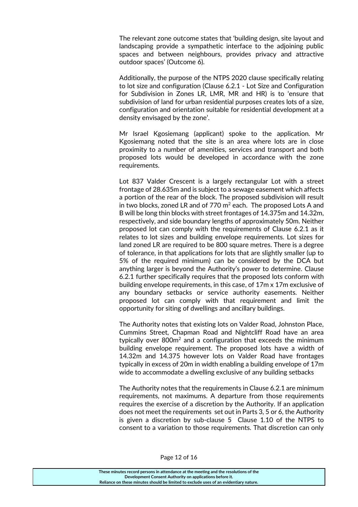The relevant zone outcome states that 'building design, site layout and landscaping provide a sympathetic interface to the adjoining public spaces and between neighbours, provides privacy and attractive outdoor spaces' (Outcome 6).

Additionally, the purpose of the NTPS 2020 clause specifically relating to lot size and configuration (Clause 6.2.1 - Lot Size and Configuration for Subdivision in Zones LR, LMR, MR and HR) is to 'ensure that subdivision of land for urban residential purposes creates lots of a size, configuration and orientation suitable for residential development at a density envisaged by the zone'.

Mr Israel Kgosiemang (applicant) spoke to the application. Mr Kgosiemang noted that the site is an area where lots are in close proximity to a number of amenities, services and transport and both proposed lots would be developed in accordance with the zone requirements.

Lot 837 Valder Crescent is a largely rectangular Lot with a street frontage of 28.635m and is subject to a sewage easement which affects a portion of the rear of the block. The proposed subdivision will result in two blocks, zoned LR and of  $770 \text{ m}^2$  each. The proposed Lots A and B will be long thin blocks with street frontages of 14.375m and 14.32m, respectively, and side boundary lengths of approximately 50m. Neither proposed lot can comply with the requirements of Clause 6.2.1 as it relates to lot sizes and building envelope requirements. Lot sizes for land zoned LR are required to be 800 square metres. There is a degree of tolerance, in that applications for lots that are slightly smaller (up to 5% of the required minimum) can be considered by the DCA but anything larger is beyond the Authority's power to determine. Clause 6.2.1 further specifically requires that the proposed lots conform with building envelope requirements, in this case, of 17m x 17m exclusive of any boundary setbacks or service authority easements. Neither proposed lot can comply with that requirement and limit the opportunity for siting of dwellings and ancillary buildings.

The Authority notes that existing lots on Valder Road, Johnston Place, Cummins Street, Chapman Road and Nightcliff Road have an area typically over 800m<sup>2</sup> and a configuration that exceeds the minimum building envelope requirement. The proposed lots have a width of 14.32m and 14.375 however lots on Valder Road have frontages typically in excess of 20m in width enabling a building envelope of 17m wide to accommodate a dwelling exclusive of any building setbacks

The Authority notes that the requirements in Clause 6.2.1 are minimum requirements, not maximums. A departure from those requirements requires the exercise of a discretion by the Authority. If an application does not meet the requirements set out in Parts 3, 5 or 6, the Authority is given a discretion by sub-clause 5 Clause 1.10 of the NTPS to consent to a variation to those requirements. That discretion can only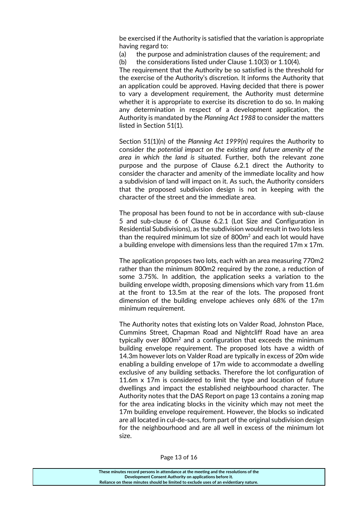be exercised if the Authority is satisfied that the variation is appropriate having regard to:

(a) the purpose and administration clauses of the requirement; and

(b) the considerations listed under Clause 1.10(3) or 1.10(4).

The requirement that the Authority be so satisfied is the threshold for the exercise of the Authority's discretion. It informs the Authority that an application could be approved. Having decided that there is power to vary a development requirement, the Authority must determine whether it is appropriate to exercise its discretion to do so. In making any determination in respect of a development application, the Authority is mandated by the *Planning Act 1988* to consider the matters listed in Section 51(1).

Section 51(1)(n) of the *Planning Act 1999(n)* requires the Authority to consider *the potential impact on the existing and future amenity of the area in which the land is situated.* Further, both the relevant zone purpose and the purpose of Clause 6.2.1 direct the Authority to consider the character and amenity of the immediate locality and how a subdivision of land will impact on it. As such, the Authority considers that the proposed subdivision design is not in keeping with the character of the street and the immediate area.

The proposal has been found to not be in accordance with sub-clause 5 and sub-clause 6 of Clause 6.2.1 (Lot Size and Configuration in Residential Subdivisions), as the subdivision would result in two lots less than the required minimum lot size of 800m<sup>2</sup> and each lot would have a building envelope with dimensions less than the required 17m x 17m.

The application proposes two lots, each with an area measuring 770m2 rather than the minimum 800m2 required by the zone, a reduction of some 3.75%. In addition, the application seeks a variation to the building envelope width, proposing dimensions which vary from 11.6m at the front to 13.5m at the rear of the lots. The proposed front dimension of the building envelope achieves only 68% of the 17m minimum requirement.

The Authority notes that existing lots on Valder Road, Johnston Place, Cummins Street, Chapman Road and Nightcliff Road have an area typically over 800m<sup>2</sup> and a configuration that exceeds the minimum building envelope requirement. The proposed lots have a width of 14.3m however lots on Valder Road are typically in excess of 20m wide enabling a building envelope of 17m wide to accommodate a dwelling exclusive of any building setbacks. Therefore the lot configuration of 11.6m x 17m is considered to limit the type and location of future dwellings and impact the established neighbourhood character. The Authority notes that the DAS Report on page 13 contains a zoning map for the area indicating blocks in the vicinity which may not meet the 17m building envelope requirement. However, the blocks so indicated are all located in cul-de-sacs, form part of the original subdivision design for the neighbourhood and are all well in excess of the minimum lot size.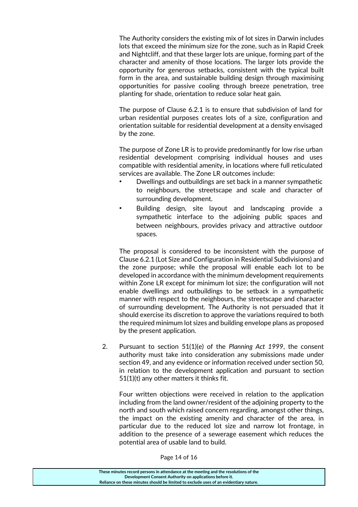The Authority considers the existing mix of lot sizes in Darwin includes lots that exceed the minimum size for the zone, such as in Rapid Creek and Nightcliff, and that these larger lots are unique, forming part of the character and amenity of those locations. The larger lots provide the opportunity for generous setbacks, consistent with the typical built form in the area, and sustainable building design through maximising opportunities for passive cooling through breeze penetration, tree planting for shade, orientation to reduce solar heat gain.

The purpose of Clause 6.2.1 is to ensure that subdivision of land for urban residential purposes creates lots of a size, configuration and orientation suitable for residential development at a density envisaged by the zone.

The purpose of Zone LR is to provide predominantly for low rise urban residential development comprising individual houses and uses compatible with residential amenity, in locations where full reticulated services are available. The Zone LR outcomes include:

- Dwellings and outbuildings are set back in a manner sympathetic to neighbours, the streetscape and scale and character of surrounding development.
- Building design, site layout and landscaping provide a sympathetic interface to the adjoining public spaces and between neighbours, provides privacy and attractive outdoor spaces.

The proposal is considered to be inconsistent with the purpose of Clause 6.2.1 (Lot Size and Configuration in Residential Subdivisions) and the zone purpose; while the proposal will enable each lot to be developed in accordance with the minimum development requirements within Zone LR except for minimum lot size; the configuration will not enable dwellings and outbuildings to be setback in a sympathetic manner with respect to the neighbours, the streetscape and character of surrounding development. The Authority is not persuaded that it should exercise its discretion to approve the variations required to both the required minimum lot sizes and building envelope plans as proposed by the present application.

2. Pursuant to section 51(1)(e) of the *Planning Act 1999*, the consent authority must take into consideration any submissions made under section 49, and any evidence or information received under section 50, in relation to the development application and pursuant to section 51(1)(t) any other matters it thinks fit.

Four written objections were received in relation to the application including from the land owner/resident of the adjoining property to the north and south which raised concern regarding, amongst other things, the impact on the existing amenity and character of the area, in particular due to the reduced lot size and narrow lot frontage, in addition to the presence of a sewerage easement which reduces the potential area of usable land to build.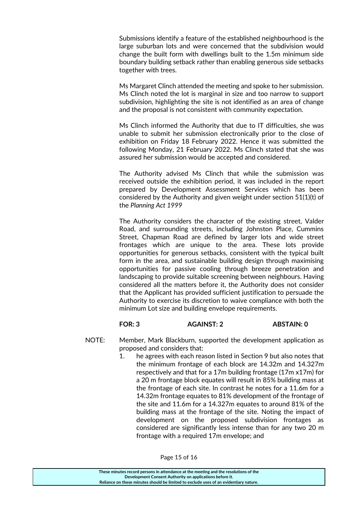Submissions identify a feature of the established neighbourhood is the large suburban lots and were concerned that the subdivision would change the built form with dwellings built to the 1.5m minimum side boundary building setback rather than enabling generous side setbacks together with trees.

Ms Margaret Clinch attended the meeting and spoke to her submission. Ms Clinch noted the lot is marginal in size and too narrow to support subdivision, highlighting the site is not identified as an area of change and the proposal is not consistent with community expectation.

Ms Clinch informed the Authority that due to IT difficulties, she was unable to submit her submission electronically prior to the close of exhibition on Friday 18 February 2022. Hence it was submitted the following Monday, 21 February 2022. Ms Clinch stated that she was assured her submission would be accepted and considered.

The Authority advised Ms Clinch that while the submission was received outside the exhibition period, it was included in the report prepared by Development Assessment Services which has been considered by the Authority and given weight under section 51(1)(t) of the *Planning Act 1999*

The Authority considers the character of the existing street, Valder Road, and surrounding streets, including Johnston Place, Cummins Street, Chapman Road are defined by larger lots and wide street frontages which are unique to the area. These lots provide opportunities for generous setbacks, consistent with the typical built form in the area, and sustainable building design through maximising opportunities for passive cooling through breeze penetration and landscaping to provide suitable screening between neighbours. Having considered all the matters before it, the Authority does not consider that the Applicant has provided sufficient justification to persuade the Authority to exercise its discretion to waive compliance with both the minimum Lot size and building envelope requirements.

#### **FOR: 3 AGAINST: 2 ABSTAIN: 0**

- NOTE: Member, Mark Blackburn, supported the development application as proposed and considers that:
	- 1. he agrees with each reason listed in Section 9 but also notes that the minimum frontage of each block are 14.32m and 14.327m respectively and that for a 17m building frontage (17m x17m) for a 20 m frontage block equates will result in 85% building mass at the frontage of each site. In contrast he notes for a 11.6m for a 14.32m frontage equates to 81% development of the frontage of the site and 11.6m for a 14.327m equates to around 81% of the building mass at the frontage of the site. Noting the impact of development on the proposed subdivision frontages as considered are significantly less intense than for any two 20 m frontage with a required 17m envelope; and